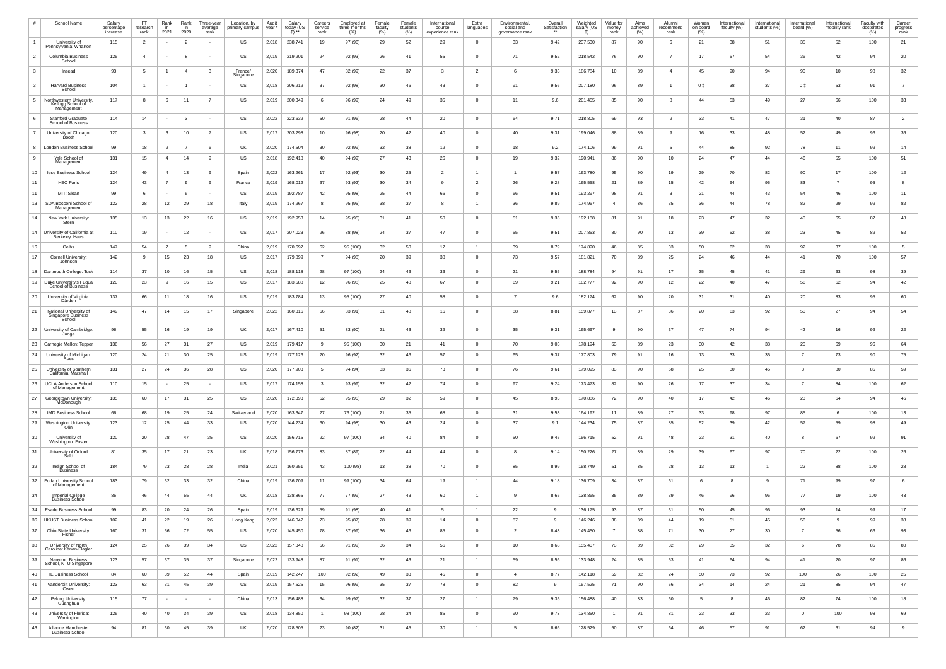| #            | School Name                                                | Salary<br>percentage<br>increase | -FT<br>research<br>rank | Rank<br>in<br>2021 | Rank<br>in<br>2020 | Three-year<br>average<br>rank | Location, by<br>primary campus | Audit<br>year* | Salary<br>today (ÚS | Careers<br>service<br>rank | Employed at<br>three months<br>$(\%)$ | Female<br>faculty<br>(% ) | Female<br>students<br>$(\%)$ | International<br>course<br>experience rank | Extra<br>languages | Environmental<br>social and<br>governance rank | Overall<br>Satisfaction<br>$***$ | Weighted<br>salary (US | Value for<br>money<br>rank <sup>-</sup> | Aims<br>achieved<br>$(\%)$ | Alumni<br>recommend<br>rank | Women<br>on board<br>$(\%)$ | International<br>faculty (%) | International<br>students (%) | International<br>board (%) | International<br>mobility rank | Faculty with<br>doctorates<br>$(\%)$ | Career<br>progress<br>rank |
|--------------|------------------------------------------------------------|----------------------------------|-------------------------|--------------------|--------------------|-------------------------------|--------------------------------|----------------|---------------------|----------------------------|---------------------------------------|---------------------------|------------------------------|--------------------------------------------|--------------------|------------------------------------------------|----------------------------------|------------------------|-----------------------------------------|----------------------------|-----------------------------|-----------------------------|------------------------------|-------------------------------|----------------------------|--------------------------------|--------------------------------------|----------------------------|
|              | University of<br>Pennsylvania: Wharton                     | 115                              |                         |                    |                    |                               | US                             | 2,018          | 238,741             |                            | 97 (96)                               | 29                        | 52                           | 29                                         | - 0                | 33                                             | 9.42                             | 237,530                | 87                                      | 90                         |                             | 21                          | 38                           | 51                            | 35                         | 52                             | 100                                  | 21                         |
|              | Columbia Business<br>School                                | 125                              |                         |                    |                    | $\sim$                        | US                             | 2,019          | 219,201             | 24                         | 92 (93)                               | 26                        | 41                           | 55                                         | $\overline{0}$     | 71                                             | 9.52                             | 218,542                | 76                                      | 90                         |                             | 17                          | 57                           | 54                            | 36                         | 42                             | 94                                   | 20                         |
| $\mathbf{3}$ | Insead                                                     | 93                               | -5                      |                    | $\overline{4}$     | $\mathbf{3}$                  | France/<br>Singapore           | 2,020          | 189,374             | -47                        | 82 (99)                               | 22                        | 37                           |                                            | -2                 |                                                | 9.33                             | 186,784                | 10                                      | 89                         | 4                           | 45                          | 90                           | 94                            | 90                         | 10                             | 98                                   | 32                         |
| $\mathbf{B}$ | Harvard Business<br>School                                 | 104                              |                         |                    |                    |                               | US                             | 2,018          | 206,219             | - 37                       | 92 (98)                               | 30 <sup>°</sup>           | 46                           | 43                                         | $\overline{0}$     | 91                                             | 9.56                             | 207,180                | 96                                      | 89                         |                             | 0‡                          | 38                           | 37                            | $0$ $\ddagger$             | 53                             | 91                                   |                            |
|              | Northwestern University<br>Kellogg School of<br>Management | 117                              |                         |                    | 11                 |                               | US                             | 2,019          | 200,349             |                            | 96 (99)                               | 24                        | 49                           | 35                                         | $\Omega$           | 11                                             | 9.6                              | 201,455                | 85                                      | 90                         |                             | -44                         | 53                           | 49                            | 27                         | 66                             | 100                                  | 33                         |
| - 6          | Stanford Graduate<br>School of Business                    | 114                              | 14                      |                    | $\mathbf{3}$       | $\sim$ $-$                    | US                             | 2,022          | 223,632             | 50                         | 91 (96)                               | 28                        | 44                           | 20                                         | $\Omega$           | 64                                             | 9.71                             | 218,805                | 69                                      | 93                         |                             | 33                          | 41                           | 47                            | 31                         | 40                             | 87                                   |                            |
|              | University of Chicago:<br>Booth                            | 120                              |                         |                    | 10                 | - 7                           | US                             | 2,017          | 203,298             | 10                         | 96 (98)                               | 20                        | 42                           | 40                                         | $\Omega$           | 40                                             | 9.31                             | 199,046                | 88                                      | 89                         |                             | 16                          | 33                           | 48                            | 52                         | 49                             | 96                                   | 36                         |
|              | <b>London Business School</b>                              | 99                               | 18                      |                    | $\overline{7}$     |                               | UK                             | 2,020          | 174,504             | 30                         | 92 (99)                               | 32                        | 38                           | 12                                         | $\Omega$           | 18                                             | 9.2                              | 174,106                | 99                                      | 91                         |                             | -44                         | 85                           | 92                            | 78                         | 11                             | 99                                   | 14                         |
|              | Yale School of<br>Management                               | 131                              | 15                      |                    | 14                 |                               | US                             | 2,018          | 192,418             | 40                         | 94 (99)                               | 27                        | 43                           | 26                                         | $\Omega$           | 19                                             | 9.32                             | 190,941                | 86                                      | 90                         | 10                          | 24                          | 47                           | 44                            | 46                         | 55                             | 100                                  | 51                         |
| 10           | lese Business School                                       | 124                              | 49                      | $\overline{4}$     | 13                 | 9                             | Spain                          | 2,022          | 163,261             | 17                         | 92 (93)                               | 30                        | 25                           |                                            |                    |                                                | 9.57                             | 163,780                | 95                                      | 90                         | 19                          | 29                          | 70                           | 82                            | 90                         | 17 <sup>7</sup>                | 100                                  | 12                         |
| 11           | <b>HEC Paris</b>                                           | 124                              | 43                      |                    | -9                 | - 9                           | France                         | 2,019          | 168,012             | 67                         | 93 (92)                               | 30                        | 34                           |                                            |                    | 26                                             | 9.28                             | 165,558                | 21                                      | 89                         | 15                          | 42                          | 64                           | 95                            | 83                         | $\overline{7}$                 | 95                                   |                            |
| 11<br>13     | MIT: Sloan<br>SDA Bocconi School of                        | 99<br>122                        | 28                      | 12                 | 29                 | $\sim$ $-$<br>18              | US<br>Italy                    | 2,019<br>2,019 | 192,787<br>174,967  | -42                        | 95 (98)<br>95 (95)                    | 25<br>38                  | 44<br>37                     | 66                                         | $\Omega$           | 66<br>36                                       | 9.51<br>9.89                     | 193,297<br>174,967     | 98<br>$\overline{4}$                    | 91<br>86                   | 35                          | 21<br>-36                   | 44<br>44                     | 43<br>78                      | 54<br>82                   | 46<br>29                       | 100<br>99                            | 11<br>-82                  |
| 14           | Management<br>New York University:                         | 135                              | 13                      | 13                 | 22                 | 16                            | US                             | 2,019          | 192,953             |                            | 95 (95)                               | 31                        | 41                           | 50                                         | $\Omega$           | 51                                             | 9.36                             | 192,188                | 81                                      | 91                         | 18                          | 23                          | 47                           | 32                            | 40                         | 65                             | 87                                   | 48                         |
|              | Stern<br>14 University of California at<br>Berkeley: Haas  | 110                              | 19                      |                    | 12                 | $\sim$                        | US                             | 2,017          | 207,023             | 26                         | 88 (98)                               | 24                        | 37                           | 47                                         | - 0                | 55                                             | 9.51                             | 207,853                | 80                                      | 90                         | 13                          | 39                          | 52                           | 38                            | 23                         | 45                             | 89                                   | 52                         |
| 16           | Ceibs                                                      | 147                              | 54                      | $\overline{7}$     | 5                  | -9                            | China                          | 2,019          | 170,697             | 62                         | 95 (100)                              | 32                        | 50                           | 17 <sup>2</sup>                            |                    | 39                                             | 8.79                             | 174,890                | 46                                      | 85                         | 33                          | 50                          | 62                           | 38                            | 92                         | 37                             | 100                                  |                            |
| 17           | <b>Cornell University</b><br>Johnson                       | 142                              |                         | 15                 | 23                 | 18                            | US                             | 2,017          | 179,899             |                            | 94 (98)                               | 20                        | 39                           | 38                                         | $\Omega$           | 73                                             | 9.57                             | 181,821                | 70                                      | 89                         | 25                          | 24                          | 46                           | 44                            | 41                         | 70                             | 100                                  | 57                         |
| 18           | Dartmouth College: Tuck                                    | 114                              |                         | 10                 |                    | 15                            | US                             | 2,018          | 188,118             | 28                         | 97 (100)                              | 2 <sup>2</sup>            | 46                           |                                            |                    | 21                                             | 9.55                             | 188,784                | 94                                      | 91                         | 17                          |                             | 45                           | 41                            | 29                         | 63                             |                                      |                            |
| 19           | Duke University's Fuqua<br>School of Business              | 120                              | 23                      |                    | 16                 | 15                            | US                             | 2,017          | 183,588             | 12                         | 96 (98)                               | 25                        | 48                           | 67                                         | $\Omega$           | 69                                             | 9.21                             | 182,777                | 92                                      | 90                         | 12                          | 22                          | 40                           | 47                            | 56                         | 62                             | 94                                   | -42                        |
| 20           | University of Virginia:<br>Darden                          | 137                              | 66                      | 11                 | 18                 | 16                            | US                             | 2,019          | 183,784             | 13                         | 95 (100)                              | 27                        | 40                           | 58                                         | $\Omega$           |                                                | 9.6                              | 182,174                | 62                                      | 90                         | 20                          | 31                          | 31                           | 40                            | 20                         | 83                             | 95                                   | 60                         |
| 21           | National University of<br>Singapore Business<br>School     | 149                              | 47                      | 14                 | 15                 | 17                            | Singapore                      | 2,022          | 160,316             | 66                         | 83 (91)                               | 31                        | 48                           | 16                                         | $\Omega$           | 88                                             | 8.81                             | 159,877                | 13                                      | 87                         | 36                          | 20                          | 63                           | 92                            | 50                         | 27                             | 94                                   | 54                         |
|              | 22   University of Cambridge<br>Judge                      | 96                               | 55                      | 16                 | 19                 | 19                            | UK                             | 2,017          | 167,410             | -51                        | 83 (90)                               | 21                        | 43                           | 39                                         | $\Omega$           | 35                                             | 9.31                             | 165,667                | 9                                       | 90                         | 37                          | 47                          | 74                           | 94                            | 42                         | 16                             | 99                                   | 22                         |
|              | 23   Carnegie Mellon: Tepper                               | 136                              | 56                      | 27                 | 31                 | 27                            | US                             | 2,019          | 179,417             |                            | 95 (100)                              | 30 <sup>°</sup>           | 21                           | 41                                         | $\Omega$           | 70                                             | 9.03                             | 178,194                | 63                                      | 89                         | 23                          | 30                          | 42                           | 38                            | 20                         | 69                             | 96                                   | 64                         |
|              | 24   University of Michigan:<br>Ross                       | 120                              | 24                      | 21                 | 30                 | 25                            | US                             | 2,019          | 177,126             | 20                         | 96 (92)                               | 32                        | 46                           | 57                                         | $\Omega$           | 65                                             | 9.37                             | 177,803                | 79                                      | 91                         | 16                          | 13                          | 33                           | 35                            |                            | 73                             | 90                                   |                            |
| 25           | University of Southern<br>California: Marshall             | 131                              | 27                      | 24                 | 36                 | 28                            | US                             | 2,020          | 177,903             |                            | 94 (94)                               | 33                        | 36                           | 73                                         | $\Omega$           | 76                                             | 9.61                             | 179,095                | 83                                      | 90                         | 58                          | 25                          | 30                           | 45                            | $\mathcal{R}$              | 80                             | 85                                   | -59                        |
| 26           | UCLA Anderson School<br>of Management                      | 110                              | 15                      |                    | 25                 | $\sim$                        | US                             | 2,017          | 174,158             |                            | 93 (99)                               | 32                        | 42                           | 74                                         | $\Omega$           | 97                                             | 9.24                             | 173,473                | 82                                      | 90                         | 26                          | 17                          | 37                           | 34                            |                            | 84                             | 100                                  | 62                         |
|              | 27 Georgetown University:<br>McDonough                     | 135                              | 60                      | 17                 | 31                 | 25                            | US                             | 2,020          | 172,393             | 52                         | 95 (95)                               | 29                        | 32                           | 59                                         | $\Omega$           | 45                                             | 8.93                             | 170,886                | 72                                      | 90                         | 40                          | 17                          | 42                           | 46                            | 23                         | 64                             | 94                                   |                            |
| 28           | <b>IMD Business School</b>                                 | 66                               | 68                      | 19                 | 25                 | 24                            | Switzerland                    | 2,020          | 163,347             | -27                        | 76 (100)                              | 21                        | 35                           | 68                                         | $\Omega$           | 31                                             | 9.53                             | 164,192                | 11                                      | 89                         | 27                          | 33                          | 98                           | 97                            | 85                         |                                | 100                                  |                            |
|              | 29   Washington University:<br>Olin                        | 123                              | $12 \overline{ }$       | 25                 | 44                 | 33                            | US                             | 2,020          | 144,234             | 60                         | 94 (98)                               | 30                        | 43                           | 24                                         | $\Omega$           | 37                                             | 9.1                              | 144,234                | 75                                      | 87                         | 85                          | 52                          | 39                           | 42                            | 57                         | 59                             | 98                                   |                            |
| 30           | University of<br>Washington: Foster                        | 120                              | 20                      | 28                 | 47                 | 35                            | US                             | 2,020          | 156,715             | 22                         | 97 (100)                              | 34                        | 40                           | 84                                         | $\Omega$           | 50                                             | 9.45                             | 156,715                | 52                                      | 91                         | 48                          | 23                          | 31                           | 40                            |                            | 67                             | 92                                   | 91                         |
| 31           | University of Oxford:<br>Saïd                              | 81                               | 35                      | 17                 | 21                 | 23                            | UK                             | 2,018          | 156,776             | 83                         | 87 (89)                               | 22                        | 44                           | 44                                         | $\Omega$           |                                                | 9.14                             | 150,226                | 27                                      | 89                         | 29                          | 39                          | 67                           | 97                            | 70                         | 22                             | 100                                  | 26                         |
| 32           | Indian School of<br><b>Business</b>                        | 184                              | 79                      | 23                 | 28                 | 28                            | India                          | 2,021          | 160,951             | 43                         | 100 (98)                              | 13                        | 38                           | 70                                         | - 0                | 85                                             | 8.99                             | 158,749                | 51                                      | 85                         | 28                          | 13                          | 13                           |                               | 22                         | 88                             | 100                                  | 28                         |
| 32           | <b>Fudan University School</b><br>of Management            | 183                              | 79                      | 32                 | 33                 | 32                            | China                          | 2,019          | 136,709             |                            | 99 (100)                              | 34                        | 64                           | 19                                         |                    | 44                                             | 9.18                             | 136,709                | 34                                      | 87                         | 61                          |                             |                              | g                             | 71                         | 99                             | 97                                   |                            |
| 34           | <b>Imperial College</b><br><b>Business School</b>          | 86                               | 46                      | 44                 | 55                 | 44                            | UK                             | 2,018          | 138,865             | 77                         | 77 (99)                               | 27                        | 43                           | 60                                         |                    |                                                | 8.65                             | 138,865                | 35                                      | 89                         | 39                          | 46                          | 96                           | 96                            | 77                         | 19                             | 100                                  | 43                         |
| 34           | <b>Esade Business School</b>                               | 99                               | 83                      | 20                 | 24                 | 26                            | Spain                          | 2,019          | 136,629             | 59                         | 91 (98)                               | 40                        | 41                           |                                            |                    | 22                                             |                                  | 136,175                | 93                                      | 87                         | 31                          | 50                          | 45                           | 96                            | 93                         | 14                             | 99                                   |                            |
|              | 36   HKUST Business School                                 | 102                              | 41                      | 22                 | 19                 | 26                            | Hong Kong                      | 2,022          | 146,042             | -73                        | 95 (87)                               | 28                        | 39                           | 14                                         | $\Omega$           |                                                |                                  | 146,246                | 38                                      | 89                         | 44                          | 19                          | 51                           | 45                            | 56                         |                                | 99                                   | 38                         |
| 37           | Ohio State University:<br>Fisher                           | 160                              | 31                      | 56                 | 72                 | 55                            | US                             | 2,020          | 145,450             | -78                        | 87 (99)                               | 36                        | 46                           | 85                                         | $\Omega$           | $\overline{2}$                                 | 8.43                             | 145,450                | $\overline{7}$                          | 88                         | 71                          | 30                          | 27                           | 30                            | $\overline{7}$             | 56                             | 66                                   | 93                         |
| 38           | University of North<br>Carolina: Kenan-Flagler             | 124                              | 25                      | 26                 | 39                 | 34                            | US                             | 2,022          | 157,348             | 56                         | 91 (99)                               | 36                        | 34                           | 56                                         | $\overline{0}$     | 10 <sup>1</sup>                                | 8.68                             | 155,407                | 73                                      | 89                         | 32                          | 29                          | 35                           | 32                            | 6                          | 78                             | 85                                   | 80                         |
| 39           | Nanyang Business<br>School, NTU Singapore                  | 123                              | 57                      | 37                 | 35                 | 37                            | Singapore                      | 2,022          | 133,948             | 87                         | 91 (91)                               | 32                        | 43                           | 21                                         |                    | 59                                             | 8.56                             | 133,948                | 24                                      | 85                         | 53                          | 41                          | 64                           | 94                            | 41                         | 20                             | 97                                   | 86                         |
| 40           | <b>IE Business School</b>                                  | 84                               | 60                      | 39                 | 52                 | 44                            | Spain                          | 2,019          | 142,247             | 100                        | 92 (92)                               | 49                        | 33                           | 45                                         | $\overline{0}$     | 4                                              | 8.77                             | 142,118                | 59                                      | 82                         | 24                          | 50                          | 73                           | 92                            | 100                        | 26                             | 100                                  | 25                         |
| 41           | Vanderbilt University:<br>Owen                             | 123                              | 63                      | 31                 | 45                 | 39                            | US                             | 2,019          | 157,525             | 15                         | 96 (99)                               | 35                        | 37                           | 78                                         | - 0                | 82                                             | 9                                | 157,525                | 71                                      | 90                         | 56                          | 34                          | 14                           | 24                            | 21                         | 85                             | 94                                   | 47                         |
| 42           | Peking University:<br>Gŭanghua                             | 115                              | 77                      | $\sim$             | $\sim 100$         | $\sim 100$                    | China                          | 2,013          | 156,488             | -34                        | 99 (97)                               | 32                        | 37                           | 27                                         |                    | 79                                             | 9.35                             | 156,488                | 40                                      | 83                         | 60                          | -5                          | 8                            | 46                            | 82                         | 74                             | 100                                  | 18                         |
| 43           | University of Florida:<br>Warrington                       | 126                              | 40                      | 40                 | 34                 | 39                            | US                             | 2,018          | 134,850             |                            | 98 (100)                              | 28                        | 34                           | 85                                         | $\overline{0}$     | 90                                             | 9.73                             | 134,850                | $\overline{1}$                          | 91                         | 81                          | 23                          | 33                           | 23                            | $\overline{0}$             | 100                            | 98                                   | 69                         |
| 43           | Alliance Manchester<br><b>Business School</b>              | 94                               | 81                      | 30                 | 45                 | 39                            | UK                             | 2,020          | 128,505             | 23                         | 90 (82)                               | 31                        | 45                           | 30                                         |                    | 5                                              | 8.66                             | 128,529                | 50                                      | 87                         | 64                          | 46                          | 57                           | 91                            | 62                         | 31                             | 94                                   |                            |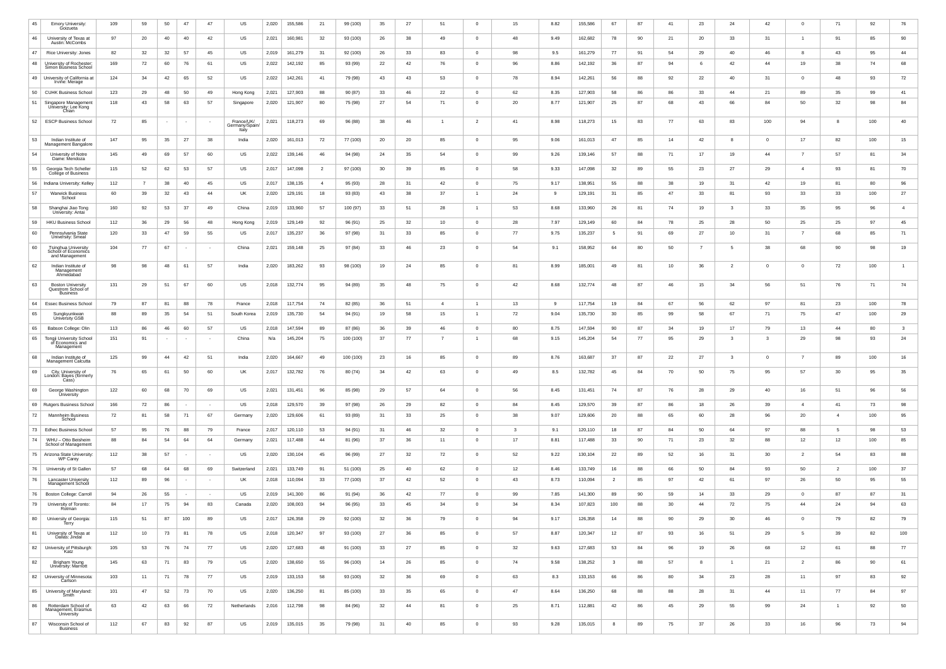| 45       | <b>Emory University</b><br>Goizueta                               | 109       | 59       | 50       | 47         | 47                     | US                                    | 2,020          | 155,586            | -21       | 99 (100)             | 35       | 27       | 51       | - 0                           | 15 <sup>15</sup> | 8.82         | 155,586            | 67                   | 87       | 41              | 23       | 24              | 42             | $\Omega$       | 71                   | 92        | 76       |
|----------|-------------------------------------------------------------------|-----------|----------|----------|------------|------------------------|---------------------------------------|----------------|--------------------|-----------|----------------------|----------|----------|----------|-------------------------------|------------------|--------------|--------------------|----------------------|----------|-----------------|----------|-----------------|----------------|----------------|----------------------|-----------|----------|
| 46       | University of Texas at<br>Austin: McCombs                         | 97        | 20       | 40       | 40         | 42                     | US                                    | 2,021          | 160,981            | -32       | 93 (100)             | 26       | 38       | 49       | - 0                           | 48               | 9.49         | 162,682            | 78                   | 90       | 21              | 20       | 33              | 31             |                | 91                   | 85        | 90       |
| 47       | Rice University: Jones                                            | 82        | 32       | 32       | 57         | 45                     | US                                    | 2,019          | 161,279            | -31       | 92 (100)             | 26       | 33       | 83       | $\Omega$                      | 98               | 9.5          | 161,279            | 77                   | 91       | 54              | 29       | 40              | 46             |                | 43                   | 95        | 44       |
| 48       | University of Rochester:<br>Simon Business School                 | 169       | 72       | 60       | 76         | 61                     | US                                    | 2,022          | 142,192            | 85        | 93 (99)              | 22       | 42       | 76       | - 0                           | 96               | 8.86         | 142,192            | 36                   | 87       | 94              |          | 42              | 44             | 19             | 38                   | 74        | 68       |
|          | 49   University of California a<br>Irvine: Merage                 | 124       | 34       | 42       | 65         | 52                     | US                                    | 2,022          | 142,261            | -41       | 79 (98)              | 43       | 43       | 53       | - 0                           | 78               | 8.94         | 142,261            | 56                   | 88       | 92              | 22       | 40              | 31             | $\Omega$       | 48                   | 93        | 72       |
| 50       | <b>CUHK Business School</b>                                       | 123       | 29       | 48       | 50         | 49                     | Hong Kong                             | 2,021          | 127,903            | 88        | 90 (87)              | 33       | 46       | 22       | $\Omega$                      | 62               | 8.35         | 127,903            | 58                   | 86       | 86              | 33       | 44              | 21             | 89             | 35                   | 99        | 41       |
| 51       | Singapore Management<br>University: Lee Kong<br>Chian             | 118       | 43       | 58       | 63         | 57                     | Singapore                             | 2,020          | 121,907            | 80        | 75 (98)              | 27       | 54       | -71      | - 0                           | 20               | 8.77         | 121,907            | 25                   | 87       | 68              | 43       | 66              | 84             | 50             | 32                   | 98        | 84       |
| 52       | <b>ESCP Business School</b>                                       | 72        | 85       |          |            |                        | France/UK/<br>/Germany/Spain<br>Italy | 2,021          | 118,273            | 69        | 96 (88)              | 38       | 46       |          |                               | 41               | 8.98         | 118,273            | 15                   | 83       | 77              | 63       | 83              | 100            | 94             |                      | 100       | 40       |
| 53       | Indian Institute of<br>Management Bangalore                       | 147       | 95       | 35       | 27         | 38                     | India                                 | 2,020          | 161,013            | 72        | 77 (100)             | 20       | 20       | 85       | - 0                           | 95               | 9.06         | 161,013            | 47                   | 85       | 14              | 42       |                 | $\overline{0}$ | 17             | 82                   | 100       | 15       |
| 54       | University of Notre<br>Dame: Mendoza                              | 145       | 49       | 69       | 57         | 60                     | US                                    | 2,022          | 139,146            | 46        | 94 (98)              | 24       | 35       | 54       | $\Omega$                      | 99               | 9.26         | 139,146            | 57                   | 88       | 71              | 17       | 19              | 44             |                | 57                   | 81        | 34       |
| 55       | Georgia Tech Scheller<br>College of Business                      | 115       | 52       | 62       | 53         | 57                     | US                                    | 2,017          | 147,098            |           | 97 (100)             | 30       | 39       | 85       | $\overline{0}$                | 58               | 9.33         | 147,098            | 32                   | 89       | 55              | 23       | 27              | 29             | $\overline{4}$ | 93                   | 81        | 70       |
| 56       | Indiana University: Kelley                                        | 112       |          | 38       | 40         | 45                     | US                                    | 2,017          | 138,135            |           | 95 (93)              | 28       | 31       | 42       | $\Omega$                      | 75               | 9.17         | 138,951            | 55                   | 88       | 38              | 19       | 31              | 42             | 19             | 81                   | 80        | 96       |
| .57      | <b>Warwick Business</b><br>School                                 | 60        | 39       | 32       | 43         | 44                     | UK                                    | 2,020          | 129,191            |           | 93 (83)              | 43       | 38       | 37       |                               | 24               | - Q          | 129,191            | 31                   | 85       | 47              | 33       | 81              | 93             | 33             | 33                   | 100       | 27       |
| 58       | Shanghai Jiao Tong<br>University: Antai                           | 160       | 92       | 53       | 37         | 49                     | China                                 | 2,019          | 133,960            | 57        | 100 (97)             | 33       | 51       | 28       |                               | 53               | 8.68         | 133,960            | 26                   | 81       | 74              | 19       | 3               | 33             | 35             | 95                   | 96        |          |
| 59       | <b>HKU Business School</b>                                        | 112       | 36       | 29       | 56         | 48                     | Hong Kong                             | 2,019          | 129,149            | 92        | 96 (91)              | 25       | 32       | 10       | $\overline{0}$                | 28               | 7.97         | 129,149            | 60                   | 84       | 78              | 25       | 28              | 50             | 25             | 25                   | 97        | 45       |
| 60       | Pennsylvania State<br>University: Smeal                           | 120       | 33       | 47       | 59         | 55                     | US                                    | 2,017          | 135,237            | 36        | 97 (98)              | 31       | 33       | 85       | - 0                           | 77               | 9.75         | 135,237            | 5                    | 91       | 69              | 27       | 10 <sup>°</sup> | 31             |                | 68                   | 85        | 71       |
| 60       | Tsinghua University<br>School of Economics<br>and Management      | 104       | 77       | 67       |            |                        | China                                 | 2,021          | 159,148            | 25        | 97 (84)              | 33       | 46       | 23       | - 0                           | 54               | 9.1          | 158,952            | 64                   | 80       | 50              |          |                 | 38             | 68             | 90                   | 98        | 19       |
| 62       | Indian Institute of<br>Management<br>Ahmedabad                    | 98        | 98       | 48       | 61         | 57                     | India                                 | 2,020          | 183,262            | 93        | 98 (100)             | 19       | 24       | 85       | - 0                           | 81               | 8.99         | 185,001            | 49                   | 81       | 10 <sup>1</sup> | 36       |                 | $\Omega$       |                | 72                   | 100       |          |
| 63       | <b>Boston University</b><br>Questrom School of<br><b>Business</b> | 131       | 29       | 51       | 67         | 60                     | US                                    | 2,018          | 132,774            | 95        | 94 (89)              | 35       | 48       | 75       | $\overline{0}$                | 42               | 8.68         | 132,774            | 48                   | 87       | 46              | 15       | 34              | 56             | 51             | 76                   | 71        | 74       |
| 64       | <b>Essec Business School</b>                                      | 79        | 87       | 81       | 88         | 78                     | France                                | 2,018          | 117,754            | 74        | 82 (85)              | 36       | 51       |          |                               | 13 <sup>7</sup>  | 9            | 117,754            | 19                   | 84       | 67              | 56       | 62              | 97             | 81             | 23                   | 100       | 78       |
| 65       | Sungkyunkwan<br>University GSB                                    | 88        | 89       | 35       | 54         | 51                     | South Korea                           | 2,019          | 135,730            | 54        | 94 (91)              | 19       | 58       | 15       |                               | 72               | 9.04         | 135,730            | 30 <sup>°</sup>      | 85       | 99              | 58       | 67              | 71             | 75             | 47                   | 100       | 29       |
| 65       | Babson College: Olin                                              | 113       | 86       | 46       | 60         | 57                     | US                                    | 2,018          | 147,594            | 89        | 87 (86)              | 36       | 39       | 46       | $\Omega$                      | 80               | 8.75         | 147,594            | 90                   | 87       | 34              | 19       | 17              | 79             | 13             | 44                   | 80        |          |
| 65       | <b>Tongji University School</b><br>of Economics and<br>Management | 151       | 91       | $\sim$   | $\sim$     | $\sim$ 100 $\sim$      | China                                 | N/a            | 145,204            | 75        | 100 (100)            | 37       | 77       |          |                               | 68               | 9.15         | 145,204            | 54                   | 77       | 95              | 29       | $\mathbf{3}$    | $\mathbf{3}$   | 29             | 98                   | 93        | 24       |
| 68       | Indian Institute of<br>Management Calcutta                        | 125       | 99       | 44       | 42         | 51                     | India                                 | 2,020          | 164,667            | 49        | 100 (100)            | 23       | 16       | 85       | - 0                           | 89               | 8.76         | 163,687            | 37                   | 87       | 22              | 27       | $\mathbf{3}$    | $\mathbf 0$    |                | 89                   | 100       | 16       |
| 69       | City, University of<br>London: Bayes (formerly<br>Cass)           | 76        | 65       | 61       | 50         | 60                     | UK                                    | 2,017          | 132,782            | 76        | 80 (74)              | 34       | 42       | 63       | $\overline{0}$                | 49               | 8.5          | 132,782            | 45                   | 84       | 70              | 50       | 75              | 95             | 57             | 30                   | 95        | 35       |
| 69       | George Washington<br><b>University</b>                            | 122       | 60       | 68       | 70         | 69                     | US                                    | 2,021          | 131,451            | 96        | 85 (98)              | 29       | 57       | 64       | - 0                           | 56               | 8.45         | 131,451            | 74                   | 87       | 76              | 28       | 29              | 40             | 16             | 51                   | 96        | 56       |
| 69       | Rutgers Business School                                           | 166       | 72       | 86       | $\sim 100$ | $\sim 100$             | US                                    | 2,018          | 129,570            | 39        | 97 (98)              | 26       | 29       | 82       | $\overline{0}$                | 84               | 8.45         | 129,570            | 39                   | 87       | 86              | 18       | 26              | 39             | $\overline{4}$ | 41                   | 73        | 98       |
| 72       | Mannheim Business<br>School                                       | 72        | 81       | 58       | 71         | 67                     | Germany                               | 2,020          | 129,606            | 61        | 93 (89)              | 31       | 33       | 25       | $\overline{0}$                | 38               | 9.07         | 129,606            | 20                   | 88       | 65              | 60       | 28              | 96             | 20             | $\overline{4}$       | 100       | 95       |
| 73       | <b>Edhec Business School</b>                                      | 57        | 95       | 76       | 88         | 79                     | France                                | 2,017          | 120,110            | 53        | 94 (91)              | 31       | 46       | 32       | $\overline{0}$                | 3                | 9.1          | 120,110            | 18                   | 87       | 84              | 50       | 64              | 97             | 88             | 5                    | 98        | 53       |
| 74       | WHU - Otto Beisheim<br>School of Management                       | 88        | 84       | 54       | 64         | 64                     | Germany                               | 2,021          | 117,488            | -44       | 81 (96)              | 37       | 36       | 11       | - 0                           | 17 <sup>2</sup>  | 8.81         | 117,488            | 33                   | 90       | 71              | 23       | 32              | 88             | 12             | 12                   | 100       | 85       |
| 75       | Arizona State University<br><b>WP Carey</b>                       | 112       | 38       | 57       |            | $\sim$ 100 $\mu$       | US                                    | 2,020          | 130,104            | 45        | 96 (99)              | 27       | 32       | 72       | - 0                           | 52               | 9.22         | 130,104            | 22                   | 89       | 52              | 16       | 31              | 30             | 2              | 54                   | 83        | 88       |
| 76       | 76   University of St Gallen<br><b>Lancaster University</b>       | 57<br>112 | 68<br>89 | 64<br>96 | 68         | 69<br>$\sim$           | Switzerland<br>UK                     | 2,021<br>2,018 | 133,749<br>110,094 | -91<br>33 | 51 (100)<br>77 (100) | 25<br>37 | 40<br>42 | 62<br>52 | $\overline{0}$<br>- 0         | 12<br>43         | 8.46<br>8.73 | 133,749<br>110,094 | 16<br>$\overline{2}$ | 88<br>85 | 66<br>97        | 50<br>42 | 84<br>61        | 93<br>97       | 50<br>26       | $\overline{2}$<br>50 | 100<br>95 | 37<br>55 |
|          | Management School                                                 |           |          |          |            |                        |                                       |                |                    |           |                      |          |          |          |                               |                  |              |                    |                      |          |                 |          |                 |                |                |                      |           |          |
| 76<br>79 | <b>Boston College: Carroll</b><br>University of Toronto:          | 94<br>84  | 26<br>17 | 55<br>75 | 94         | $\sim$ 100 $\mu$<br>83 | US<br>Canada                          | 2,019<br>2,020 | 141,300<br>108,003 | 86        | 91 (94)<br>96 (95)   | 36<br>33 | 42<br>45 | 77<br>34 | $\overline{0}$<br>$\mathbf 0$ | 99<br>34         | 7.85<br>8.34 | 141,300<br>107,823 | 89<br>100            | 90<br>88 | 59<br>30        | 14<br>44 | 33<br>72        | 29<br>75       | $\Omega$<br>44 | 87<br>24             | 87<br>94  | 31<br>63 |
| 80       | Rotman<br>University of Georgia:                                  | 115       | 51       | 87       | 100        | 89                     | US                                    | 2,017          | 126,358            | 29        | 92 (100)             | 32       | 36       | 79       | - 0                           | 94               | 9.17         | 126,358            | 14                   | 88       | 90              | 29       | 30              | 46             |                | 79                   | 82        | 79       |
| 81       | lerry<br>University of Texas at                                   | 112       | 10       | 73       | 81         | 78                     | US                                    | 2,018          | 120,347            | 97        | 93 (100)             | 27       | 36       | 85       | $\overline{0}$                | 57               | 8.87         | 120,347            | 12                   | 87       | 93              | 16       | 51              | 29             | -5             | 39                   | 82        | 100      |
|          | Dallas: Jindal<br>82   University of Pittsburgh                   | 105       | 53       | 76       | 74         | 77                     | US                                    | 2,020          | 127,683            | 48        | 91 (100)             | 33       | 27       | 85       | $\overline{0}$                | 32               | 9.63         | 127,683            | 53                   | 84       | 96              | 19       | 26              | 68             | 12             | 61                   | 88        | 77       |
| 82       | Katz<br>Brigham Young                                             | 145       | 63       | 71       | 83         | 79                     | US                                    | 2,020          | 138,650            | 55        | 96 (100)             | 14       | 26       | 85       | $\overline{0}$                | 74               | 9.58         | 138,252            | $\mathbf{3}$         | 88       | 57              |          |                 | 21             | $\overline{2}$ | 86                   | 90        | 61       |
|          | University: Marriott<br>82   University of Minnesota:             | 103       | 11       | 71       | 78         | 77                     | US                                    | 2,019          | 133,153            | 58        | 93 (100)             | 32       | 36       | 69       | $\overline{0}$                | 63               | 8.3          | 133,153            | 66                   | 86       | 80              | 34       | 23              | 28             | 11             | 97                   | 83        | 92       |
|          | Carlson<br>85   University of Maryland:                           | 101       | 47       | 52       | 73         | 70                     | US                                    | 2,020          | 136,250            | 81        | 85 (100)             | 33       | 35       | 65       | $\overline{0}$                | 47               | 8.64         | 136,250            | 68                   | 88       | 88              | 28       | 31              | 44             | 11             | 77                   | 84        | 97       |
| 86       | Śmith<br>Rotterdam School of<br>Management, Erasmus               | 63        | 42       | 63       | 66         | 72                     | Netherlands                           | 2,016          | 112,798            | 98        | 84 (96)              | 32       | 44       | 81       | $\overline{0}$                | 25               | 8.71         | 112,881            | 42                   | 86       | 45              | 29       | 55              | 99             | 24             |                      | 92        | 50       |
| 87       | University<br>Wisconsin School of                                 | 112       | 67       | 83       | 92         | 87                     | US                                    | 2,019          | 135,015            | 35        | 79 (98)              | 31       | 40       | 85       | $\overline{0}$                | 93               | 9.28         | 135,015            | 8                    | 89       | 75              | 37       | 26              | 33             | 16             | 96                   | 73        | 94       |
|          | <b>Business</b>                                                   |           |          |          |            |                        |                                       |                |                    |           |                      |          |          |          |                               |                  |              |                    |                      |          |                 |          |                 |                |                |                      |           |          |